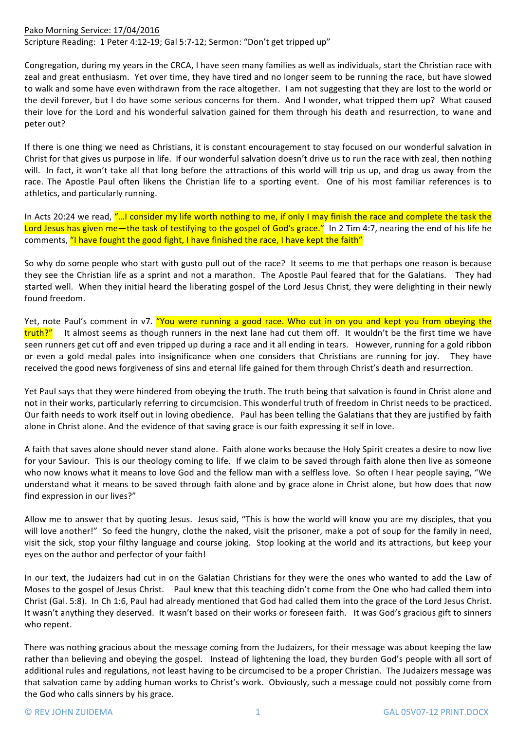## Pako Morning Service: 17/04/2016

Scripture Reading: 1 Peter 4:12-19; Gal 5:7-12; Sermon: "Don't get tripped up"

Congregation, during my years in the CRCA, I have seen many families as well as individuals, start the Christian race with zeal and great enthusiasm. Yet over time, they have tired and no longer seem to be running the race, but have slowed to walk and some have even withdrawn from the race altogether. I am not suggesting that they are lost to the world or the devil forever, but I do have some serious concerns for them. And I wonder, what tripped them up? What caused their love for the Lord and his wonderful salvation gained for them through his death and resurrection, to wane and peter out?

If there is one thing we need as Christians, it is constant encouragement to stay focused on our wonderful salvation in Christ for that gives us purpose in life. If our wonderful salvation doesn't drive us to run the race with zeal, then nothing will. In fact, it won't take all that long before the attractions of this world will trip us up, and drag us away from the race. The Apostle Paul often likens the Christian life to a sporting event. One of his most familiar references is to athletics, and particularly running.

In Acts 20:24 we read, "...I consider my life worth nothing to me, if only I may finish the race and complete the task the Lord Jesus has given me—the task of testifying to the gospel of God's grace." In 2 Tim 4:7, nearing the end of his life he comments, "I have fought the good fight, I have finished the race, I have kept the faith"

So why do some people who start with gusto pull out of the race? It seems to me that perhaps one reason is because they see the Christian life as a sprint and not a marathon. The Apostle Paul feared that for the Galatians. They had started well. When they initial heard the liberating gospel of the Lord Jesus Christ, they were delighting in their newly found freedom.

Yet, note Paul's comment in v7. "You were running a good race. Who cut in on you and kept you from obeying the truth?" It almost seems as though runners in the next lane had cut them off. It wouldn't be the first time we have seen runners get cut off and even tripped up during a race and it all ending in tears. However, running for a gold ribbon or even a gold medal pales into insignificance when one considers that Christians are running for joy. They have received the good news forgiveness of sins and eternal life gained for them through Christ's death and resurrection.

Yet Paul says that they were hindered from obeying the truth. The truth being that salvation is found in Christ alone and not in their works, particularly referring to circumcision. This wonderful truth of freedom in Christ needs to be practiced. Our faith needs to work itself out in loving obedience. Paul has been telling the Galatians that they are justified by faith alone in Christ alone. And the evidence of that saving grace is our faith expressing it self in love.

A faith that saves alone should never stand alone. Faith alone works because the Holy Spirit creates a desire to now live for your Saviour. This is our theology coming to life. If we claim to be saved through faith alone then live as someone who now knows what it means to love God and the fellow man with a selfless love. So often I hear people saying, "We understand what it means to be saved through faith alone and by grace alone in Christ alone, but how does that now find expression in our lives?"

Allow me to answer that by quoting Jesus. Jesus said, "This is how the world will know you are my disciples, that you will love another!" So feed the hungry, clothe the naked, visit the prisoner, make a pot of soup for the family in need, visit the sick, stop your filthy language and course joking. Stop looking at the world and its attractions, but keep your eyes on the author and perfector of your faith!

In our text, the Judaizers had cut in on the Galatian Christians for they were the ones who wanted to add the Law of Moses to the gospel of Jesus Christ. Paul knew that this teaching didn't come from the One who had called them into Christ (Gal. 5:8). In Ch 1:6, Paul had already mentioned that God had called them into the grace of the Lord Jesus Christ. It wasn't anything they deserved. It wasn't based on their works or foreseen faith. It was God's gracious gift to sinners who repent.

There was nothing gracious about the message coming from the Judaizers, for their message was about keeping the law rather than believing and obeying the gospel. Instead of lightening the load, they burden God's people with all sort of additional rules and regulations, not least having to be circumcised to be a proper Christian. The Judaizers message was that salvation came by adding human works to Christ's work. Obviously, such a message could not possibly come from the God who calls sinners by his grace.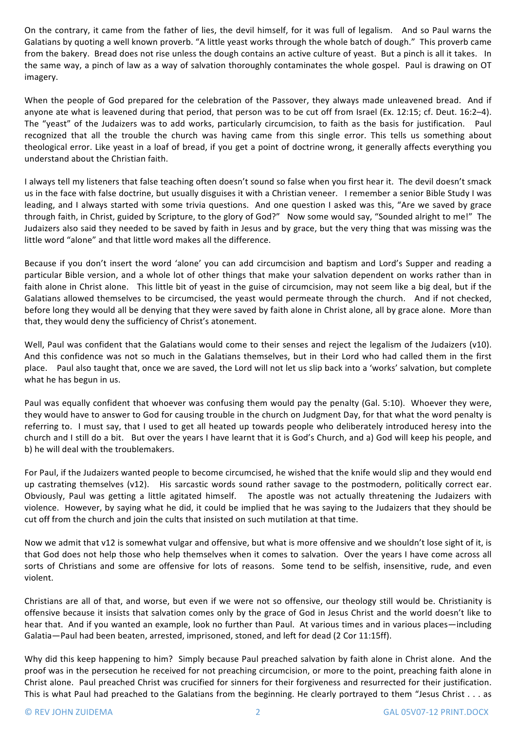On the contrary, it came from the father of lies, the devil himself, for it was full of legalism. And so Paul warns the Galatians by quoting a well known proverb. "A little yeast works through the whole batch of dough." This proverb came from the bakery. Bread does not rise unless the dough contains an active culture of veast. But a pinch is all it takes. In the same way, a pinch of law as a way of salvation thoroughly contaminates the whole gospel. Paul is drawing on OT imagery.

When the people of God prepared for the celebration of the Passover, they always made unleavened bread. And if anyone ate what is leavened during that period, that person was to be cut off from Israel (Ex. 12:15; cf. Deut. 16:2-4). The "yeast" of the Judaizers was to add works, particularly circumcision, to faith as the basis for justification. Paul recognized that all the trouble the church was having came from this single error. This tells us something about theological error. Like yeast in a loaf of bread, if you get a point of doctrine wrong, it generally affects everything you understand about the Christian faith. 

I always tell my listeners that false teaching often doesn't sound so false when you first hear it. The devil doesn't smack us in the face with false doctrine, but usually disguises it with a Christian veneer. I remember a senior Bible Study I was leading, and I always started with some trivia questions. And one question I asked was this, "Are we saved by grace through faith, in Christ, guided by Scripture, to the glory of God?" Now some would say, "Sounded alright to me!" The Judaizers also said they needed to be saved by faith in Jesus and by grace, but the very thing that was missing was the little word "alone" and that little word makes all the difference.

Because if you don't insert the word 'alone' you can add circumcision and baptism and Lord's Supper and reading a particular Bible version, and a whole lot of other things that make your salvation dependent on works rather than in faith alone in Christ alone. This little bit of yeast in the guise of circumcision, may not seem like a big deal, but if the Galatians allowed themselves to be circumcised, the yeast would permeate through the church. And if not checked, before long they would all be denying that they were saved by faith alone in Christ alone, all by grace alone. More than that, they would deny the sufficiency of Christ's atonement.

Well, Paul was confident that the Galatians would come to their senses and reject the legalism of the Judaizers (v10). And this confidence was not so much in the Galatians themselves, but in their Lord who had called them in the first place. Paul also taught that, once we are saved, the Lord will not let us slip back into a 'works' salvation, but complete what he has begun in us.

Paul was equally confident that whoever was confusing them would pay the penalty (Gal. 5:10). Whoever they were, they would have to answer to God for causing trouble in the church on Judgment Day, for that what the word penalty is referring to. I must say, that I used to get all heated up towards people who deliberately introduced heresy into the church and I still do a bit. But over the years I have learnt that it is God's Church, and a) God will keep his people, and b) he will deal with the troublemakers.

For Paul, if the Judaizers wanted people to become circumcised, he wished that the knife would slip and they would end up castrating themselves (v12). His sarcastic words sound rather savage to the postmodern, politically correct ear. Obviously, Paul was getting a little agitated himself. The apostle was not actually threatening the Judaizers with violence. However, by saying what he did, it could be implied that he was saying to the Judaizers that they should be cut off from the church and join the cults that insisted on such mutilation at that time.

Now we admit that v12 is somewhat vulgar and offensive, but what is more offensive and we shouldn't lose sight of it, is that God does not help those who help themselves when it comes to salvation. Over the years I have come across all sorts of Christians and some are offensive for lots of reasons. Some tend to be selfish, insensitive, rude, and even violent. 

Christians are all of that, and worse, but even if we were not so offensive, our theology still would be. Christianity is offensive because it insists that salvation comes only by the grace of God in Jesus Christ and the world doesn't like to hear that. And if you wanted an example, look no further than Paul. At various times and in various places—including Galatia—Paul had been beaten, arrested, imprisoned, stoned, and left for dead (2 Cor 11:15ff).

Why did this keep happening to him? Simply because Paul preached salvation by faith alone in Christ alone. And the proof was in the persecution he received for not preaching circumcision, or more to the point, preaching faith alone in Christ alone. Paul preached Christ was crucified for sinners for their forgiveness and resurrected for their justification. This is what Paul had preached to the Galatians from the beginning. He clearly portrayed to them "Jesus Christ  $\dots$  as